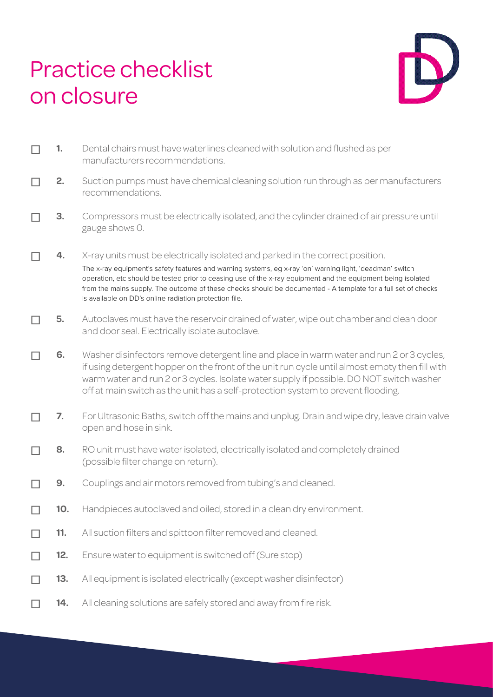## Practice checklist on closure



| 1.  | Dental chairs must have waterlines cleaned with solution and flushed as per<br>manufacturers recommendations.                                                                                                                                                                                                                                                                                                                                                                        |
|-----|--------------------------------------------------------------------------------------------------------------------------------------------------------------------------------------------------------------------------------------------------------------------------------------------------------------------------------------------------------------------------------------------------------------------------------------------------------------------------------------|
| 2.  | Suction pumps must have chemical cleaning solution run through as per manufacturers<br>recommendations.                                                                                                                                                                                                                                                                                                                                                                              |
| 3.  | Compressors must be electrically isolated, and the cylinder drained of air pressure until<br>gauge shows 0.                                                                                                                                                                                                                                                                                                                                                                          |
| 4.  | X-ray units must be electrically isolated and parked in the correct position.<br>The x-ray equipment's safety features and warning systems, eg x-ray 'on' warning light, 'deadman' switch<br>operation, etc should be tested prior to ceasing use of the x-ray equipment and the equipment being isolated<br>from the mains supply. The outcome of these checks should be documented - A template for a full set of checks<br>is available on DD's online radiation protection file. |
| 5.  | Autoclaves must have the reservoir drained of water, wipe out chamber and clean door<br>and door seal. Electrically isolate autoclave.                                                                                                                                                                                                                                                                                                                                               |
| 6.  | Washer disinfectors remove detergent line and place in warm water and run 2 or 3 cycles,<br>if using detergent hopper on the front of the unit run cycle until almost empty then fill with<br>warm water and run 2 or 3 cycles. Isolate water supply if possible. DO NOT switch washer<br>off at main switch as the unit has a self-protection system to prevent flooding.                                                                                                           |
| 7.  | For Ultrasonic Baths, switch off the mains and unplug. Drain and wipe dry, leave drain valve<br>open and hose in sink.                                                                                                                                                                                                                                                                                                                                                               |
| 8.  | RO unit must have water isolated, electrically isolated and completely drained<br>(possible filter change on return).                                                                                                                                                                                                                                                                                                                                                                |
| 9.  | Couplings and air motors removed from tubing's and cleaned.                                                                                                                                                                                                                                                                                                                                                                                                                          |
| 10. | Handpieces autoclaved and oiled, stored in a clean dry environment.                                                                                                                                                                                                                                                                                                                                                                                                                  |
| 11. | All suction filters and spittoon filter removed and cleaned.                                                                                                                                                                                                                                                                                                                                                                                                                         |
| 12. | Ensure water to equipment is switched off (Sure stop)                                                                                                                                                                                                                                                                                                                                                                                                                                |
| 13. | All equipment is isolated electrically (except washer disinfector)                                                                                                                                                                                                                                                                                                                                                                                                                   |
| 14. | All cleaning solutions are safely stored and away from fire risk.                                                                                                                                                                                                                                                                                                                                                                                                                    |
|     |                                                                                                                                                                                                                                                                                                                                                                                                                                                                                      |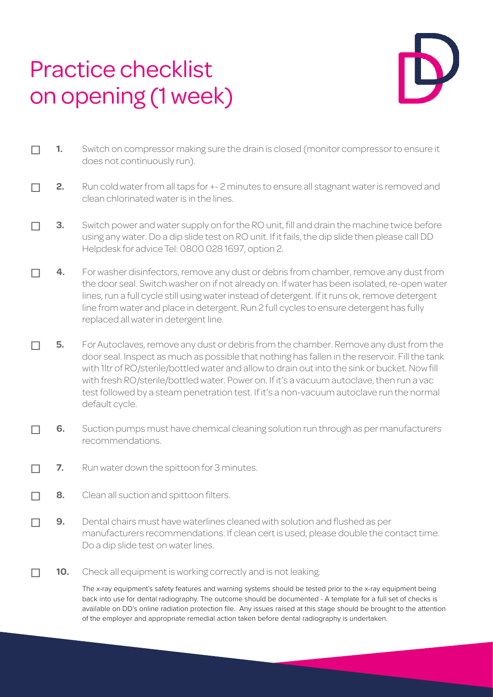## Practice checklist on opening (1 week)



- ☐ **1.** Switch on compressor making sure the drain is closed (monitor compressor to ensure it does not continuously run).
- ☐ **2.** Run cold water from all taps for +- 2 minutes to ensure all stagnant water is removed and clean chlorinated water is in the lines.
- □ 3. Switch power and water supply on for the RO unit, fill and drain the machine twice before using any water. Do a dip slide test on RO unit. If it fails, the dip slide then please call DD Helpdesk for advice Tel: 0800 028 1697, option 2.
- ☐ **4.** For washer disinfectors, remove any dust or debris from chamber, remove any dust from the door seal. Switch washer on if not already on. If water has been isolated, re-open water lines, run a full cycle still using water instead of detergent. If it runs ok, remove detergent line from water and place in detergent. Run 2 full cycles to ensure detergent has fully replaced all water in detergent line.
- ☐ **5.** For Autoclaves, remove any dust or debris from the chamber. Remove any dust from the door seal. Inspect as much as possible that nothing has fallen in the reservoir. Fill the tank with 1ltr of RO/sterile/bottled water and allow to drain out into the sink or bucket. Now fill with fresh RO/sterile/bottled water. Power on. If it's a vacuum autoclave, then run a vac test followed by a steam penetration test. If it's a non-vacuum autoclave run the normal default cycle.
- ☐ **6.** Suction pumps must have chemical cleaning solution run through as per manufacturers recommendations.
- ☐ **7.** Run water down the spittoon for 3 minutes.
- ☐ **8.** Clean all suction and spittoon filters.
- ☐ **9.** Dental chairs must have waterlines cleaned with solution and flushed as per manufacturers recommendations. If clean cert is used, please double the contact time. Do a dip slide test on water lines.
- **10.** Check all equipment is working correctly and is not leaking.

The x-ray equipment's safety features and warning systems should be tested prior to the x-ray equipment being back into use for dental radiography. The outcome should be documented - A template for a full set of checks is available on DD's online radiation protection file. Any issues raised at this stage should be brought to the attention of the employer and appropriate remedial action taken before dental radiography is undertaken.